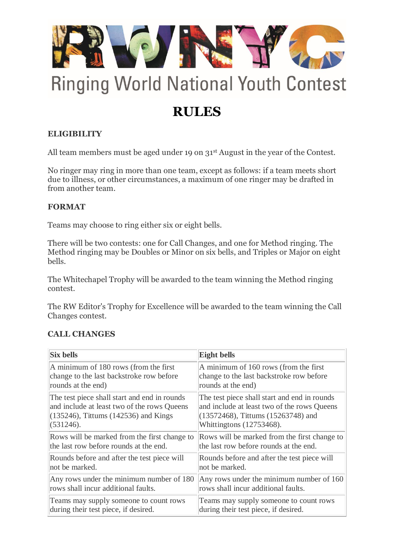

# **Ringing World National Youth Contest**

## **RULES**

### **ELIGIBILITY**

All team members must be aged under 19 on 31<sup>st</sup> August in the year of the Contest.

No ringer may ring in more than one team, except as follows: if a team meets short due to illness, or other circumstances, a maximum of one ringer may be drafted in from another team.

#### **FORMAT**

Teams may choose to ring either six or eight bells.

There will be two contests: one for Call Changes, and one for Method ringing. The Method ringing may be Doubles or Minor on six bells, and Triples or Major on eight bells.

The Whitechapel Trophy will be awarded to the team winning the Method ringing contest.

The RW Editor's Trophy for Excellence will be awarded to the team winning the Call Changes contest.

#### **CALL CHANGES**

| <b>Six bells</b>                             | <b>Eight bells</b>                           |
|----------------------------------------------|----------------------------------------------|
| A minimum of 180 rows (from the first        | A minimum of 160 rows (from the first        |
| change to the last backstroke row before     | change to the last backstroke row before     |
| rounds at the end)                           | rounds at the end)                           |
| The test piece shall start and end in rounds | The test piece shall start and end in rounds |
| and include at least two of the rows Queens  | and include at least two of the rows Queens  |
| $(135246)$ , Tittums (142536) and Kings      | (13572468), Tittums (15263748) and           |
| (531246).                                    | Whittingtons (12753468).                     |
| Rows will be marked from the first change to | Rows will be marked from the first change to |
| the last row before rounds at the end.       | the last row before rounds at the end.       |
| Rounds before and after the test piece will  | Rounds before and after the test piece will  |
| not be marked.                               | not be marked.                               |
| Any rows under the minimum number of 180     | Any rows under the minimum number of 160     |
| rows shall incur additional faults.          | rows shall incur additional faults.          |
| Teams may supply someone to count rows       | Teams may supply someone to count rows       |
| during their test piece, if desired.         | during their test piece, if desired.         |